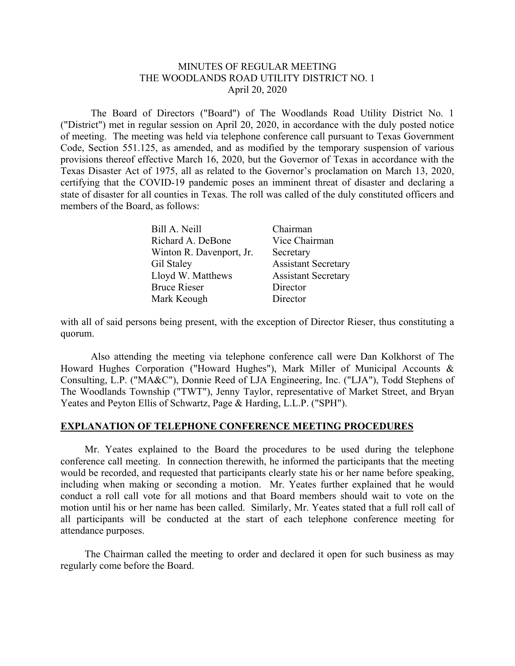## MINUTES OF REGULAR MEETING THE WOODLANDS ROAD UTILITY DISTRICT NO. 1 April 20, 2020

 The Board of Directors ("Board") of The Woodlands Road Utility District No. 1 ("District") met in regular session on April 20, 2020, in accordance with the duly posted notice of meeting. The meeting was held via telephone conference call pursuant to Texas Government Code, Section 551.125, as amended, and as modified by the temporary suspension of various provisions thereof effective March 16, 2020, but the Governor of Texas in accordance with the Texas Disaster Act of 1975, all as related to the Governor's proclamation on March 13, 2020, certifying that the COVID-19 pandemic poses an imminent threat of disaster and declaring a state of disaster for all counties in Texas. The roll was called of the duly constituted officers and members of the Board, as follows:

| Bill A. Neill            | Chairman                   |
|--------------------------|----------------------------|
| Richard A. DeBone        | Vice Chairman              |
| Winton R. Davenport, Jr. | Secretary                  |
| Gil Staley               | <b>Assistant Secretary</b> |
| Lloyd W. Matthews        | <b>Assistant Secretary</b> |
| <b>Bruce Rieser</b>      | Director                   |
| Mark Keough              | Director                   |

with all of said persons being present, with the exception of Director Rieser, thus constituting a quorum.

Also attending the meeting via telephone conference call were Dan Kolkhorst of The Howard Hughes Corporation ("Howard Hughes"), Mark Miller of Municipal Accounts & Consulting, L.P. ("MA&C"), Donnie Reed of LJA Engineering, Inc. ("LJA"), Todd Stephens of The Woodlands Township ("TWT"), Jenny Taylor, representative of Market Street, and Bryan Yeates and Peyton Ellis of Schwartz, Page & Harding, L.L.P. ("SPH").

### **EXPLANATION OF TELEPHONE CONFERENCE MEETING PROCEDURES**

 Mr. Yeates explained to the Board the procedures to be used during the telephone conference call meeting. In connection therewith, he informed the participants that the meeting would be recorded, and requested that participants clearly state his or her name before speaking, including when making or seconding a motion. Mr. Yeates further explained that he would conduct a roll call vote for all motions and that Board members should wait to vote on the motion until his or her name has been called. Similarly, Mr. Yeates stated that a full roll call of all participants will be conducted at the start of each telephone conference meeting for attendance purposes.

 The Chairman called the meeting to order and declared it open for such business as may regularly come before the Board.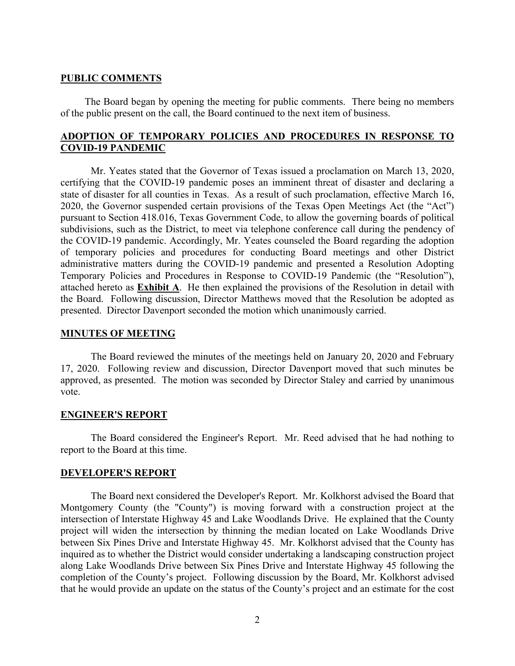#### **PUBLIC COMMENTS**

 The Board began by opening the meeting for public comments. There being no members of the public present on the call, the Board continued to the next item of business.

## **ADOPTION OF TEMPORARY POLICIES AND PROCEDURES IN RESPONSE TO COVID-19 PANDEMIC**

Mr. Yeates stated that the Governor of Texas issued a proclamation on March 13, 2020, certifying that the COVID-19 pandemic poses an imminent threat of disaster and declaring a state of disaster for all counties in Texas. As a result of such proclamation, effective March 16, 2020, the Governor suspended certain provisions of the Texas Open Meetings Act (the "Act") pursuant to Section 418.016, Texas Government Code, to allow the governing boards of political subdivisions, such as the District, to meet via telephone conference call during the pendency of the COVID-19 pandemic. Accordingly, Mr. Yeates counseled the Board regarding the adoption of temporary policies and procedures for conducting Board meetings and other District administrative matters during the COVID-19 pandemic and presented a Resolution Adopting Temporary Policies and Procedures in Response to COVID-19 Pandemic (the "Resolution"), attached hereto as **Exhibit A**. He then explained the provisions of the Resolution in detail with the Board. Following discussion, Director Matthews moved that the Resolution be adopted as presented. Director Davenport seconded the motion which unanimously carried.

#### **MINUTES OF MEETING**

The Board reviewed the minutes of the meetings held on January 20, 2020 and February 17, 2020. Following review and discussion, Director Davenport moved that such minutes be approved, as presented. The motion was seconded by Director Staley and carried by unanimous vote.

#### **ENGINEER'S REPORT**

 The Board considered the Engineer's Report. Mr. Reed advised that he had nothing to report to the Board at this time.

#### **DEVELOPER'S REPORT**

 The Board next considered the Developer's Report. Mr. Kolkhorst advised the Board that Montgomery County (the "County") is moving forward with a construction project at the intersection of Interstate Highway 45 and Lake Woodlands Drive. He explained that the County project will widen the intersection by thinning the median located on Lake Woodlands Drive between Six Pines Drive and Interstate Highway 45. Mr. Kolkhorst advised that the County has inquired as to whether the District would consider undertaking a landscaping construction project along Lake Woodlands Drive between Six Pines Drive and Interstate Highway 45 following the completion of the County's project. Following discussion by the Board, Mr. Kolkhorst advised that he would provide an update on the status of the County's project and an estimate for the cost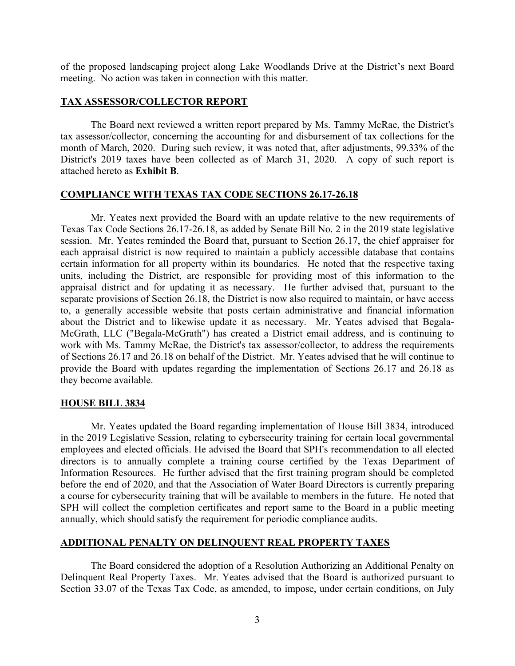of the proposed landscaping project along Lake Woodlands Drive at the District's next Board meeting. No action was taken in connection with this matter.

### **TAX ASSESSOR/COLLECTOR REPORT**

 The Board next reviewed a written report prepared by Ms. Tammy McRae, the District's tax assessor/collector, concerning the accounting for and disbursement of tax collections for the month of March, 2020. During such review, it was noted that, after adjustments, 99.33% of the District's 2019 taxes have been collected as of March 31, 2020. A copy of such report is attached hereto as **Exhibit B**.

## **COMPLIANCE WITH TEXAS TAX CODE SECTIONS 26.17-26.18**

 Mr. Yeates next provided the Board with an update relative to the new requirements of Texas Tax Code Sections 26.17-26.18, as added by Senate Bill No. 2 in the 2019 state legislative session. Mr. Yeates reminded the Board that, pursuant to Section 26.17, the chief appraiser for each appraisal district is now required to maintain a publicly accessible database that contains certain information for all property within its boundaries. He noted that the respective taxing units, including the District, are responsible for providing most of this information to the appraisal district and for updating it as necessary. He further advised that, pursuant to the separate provisions of Section 26.18, the District is now also required to maintain, or have access to, a generally accessible website that posts certain administrative and financial information about the District and to likewise update it as necessary. Mr. Yeates advised that Begala-McGrath, LLC ("Begala-McGrath") has created a District email address, and is continuing to work with Ms. Tammy McRae, the District's tax assessor/collector, to address the requirements of Sections 26.17 and 26.18 on behalf of the District. Mr. Yeates advised that he will continue to provide the Board with updates regarding the implementation of Sections 26.17 and 26.18 as they become available.

### **HOUSE BILL 3834**

 Mr. Yeates updated the Board regarding implementation of House Bill 3834, introduced in the 2019 Legislative Session, relating to cybersecurity training for certain local governmental employees and elected officials. He advised the Board that SPH's recommendation to all elected directors is to annually complete a training course certified by the Texas Department of Information Resources. He further advised that the first training program should be completed before the end of 2020, and that the Association of Water Board Directors is currently preparing a course for cybersecurity training that will be available to members in the future. He noted that SPH will collect the completion certificates and report same to the Board in a public meeting annually, which should satisfy the requirement for periodic compliance audits.

## **ADDITIONAL PENALTY ON DELINQUENT REAL PROPERTY TAXES**

 The Board considered the adoption of a Resolution Authorizing an Additional Penalty on Delinquent Real Property Taxes. Mr. Yeates advised that the Board is authorized pursuant to Section 33.07 of the Texas Tax Code, as amended, to impose, under certain conditions, on July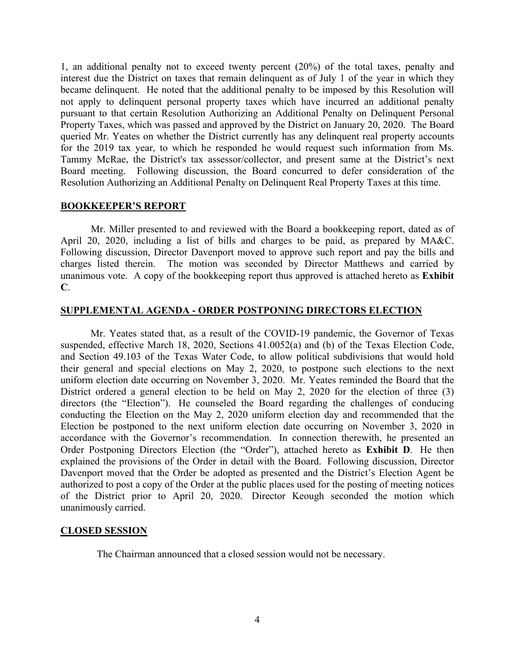1, an additional penalty not to exceed twenty percent (20%) of the total taxes, penalty and interest due the District on taxes that remain delinquent as of July 1 of the year in which they became delinquent. He noted that the additional penalty to be imposed by this Resolution will not apply to delinquent personal property taxes which have incurred an additional penalty pursuant to that certain Resolution Authorizing an Additional Penalty on Delinquent Personal Property Taxes, which was passed and approved by the District on January 20, 2020. The Board queried Mr. Yeates on whether the District currently has any delinquent real property accounts for the 2019 tax year, to which he responded he would request such information from Ms. Tammy McRae, the District's tax assessor/collector, and present same at the District's next Board meeting. Following discussion, the Board concurred to defer consideration of the Resolution Authorizing an Additional Penalty on Delinquent Real Property Taxes at this time.

#### **BOOKKEEPER'S REPORT**

Mr. Miller presented to and reviewed with the Board a bookkeeping report, dated as of April 20, 2020, including a list of bills and charges to be paid, as prepared by MA&C. Following discussion, Director Davenport moved to approve such report and pay the bills and charges listed therein. The motion was seconded by Director Matthews and carried by unanimous vote. A copy of the bookkeeping report thus approved is attached hereto as **Exhibit C**.

### **SUPPLEMENTAL AGENDA - ORDER POSTPONING DIRECTORS ELECTION**

 Mr. Yeates stated that, as a result of the COVID-19 pandemic, the Governor of Texas suspended, effective March 18, 2020, Sections 41.0052(a) and (b) of the Texas Election Code, and Section 49.103 of the Texas Water Code, to allow political subdivisions that would hold their general and special elections on May 2, 2020, to postpone such elections to the next uniform election date occurring on November 3, 2020. Mr. Yeates reminded the Board that the District ordered a general election to be held on May 2, 2020 for the election of three (3) directors (the "Election"). He counseled the Board regarding the challenges of conducing conducting the Election on the May 2, 2020 uniform election day and recommended that the Election be postponed to the next uniform election date occurring on November 3, 2020 in accordance with the Governor's recommendation. In connection therewith, he presented an Order Postponing Directors Election (the "Order"), attached hereto as **Exhibit D**. He then explained the provisions of the Order in detail with the Board. Following discussion, Director Davenport moved that the Order be adopted as presented and the District's Election Agent be authorized to post a copy of the Order at the public places used for the posting of meeting notices of the District prior to April 20, 2020. Director Keough seconded the motion which unanimously carried.

## **CLOSED SESSION**

The Chairman announced that a closed session would not be necessary.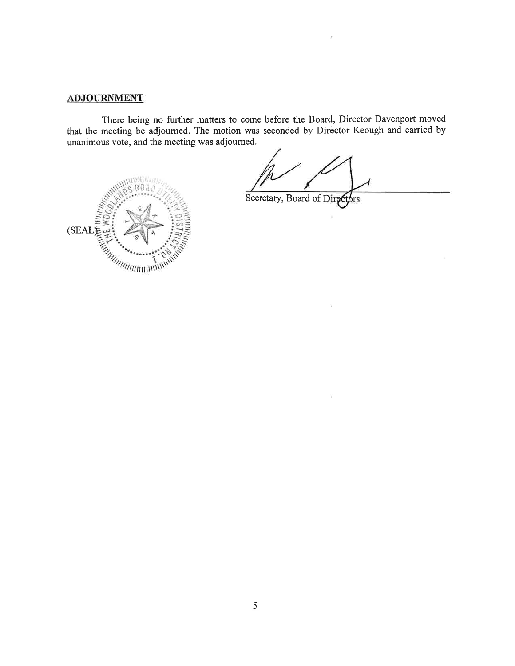# **ADJOURNMENT**

**ANDERIAL** R O J

There being no further matters to come before the Board, Director Davenport moved<br>that the meeting be adjourned. The motion was seconded by Director Keough and carried by unanimous vote, and the meeting was adjourned.



Secretary, Board of Directors